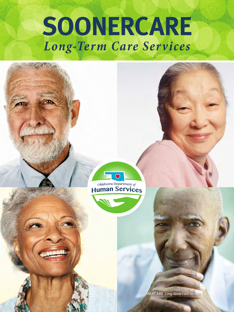# **SOONERCARE** *Long-Term Care Services*



**NERCARE** *Long-Term Care Services*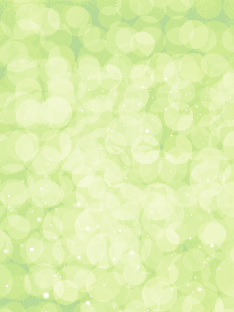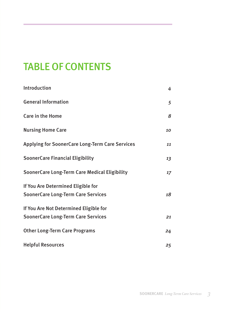### TABLE OF CONTENTS

| Introduction                                                                    | 4  |
|---------------------------------------------------------------------------------|----|
| <b>General Information</b>                                                      | 5  |
| <b>Care in the Home</b>                                                         | 8  |
| <b>Nursing Home Care</b>                                                        | 10 |
| <b>Applying for SoonerCare Long-Term Care Services</b>                          | 11 |
| <b>SoonerCare Financial Eligibility</b>                                         | 13 |
| SoonerCare Long-Term Care Medical Eligibility                                   | 17 |
| If You Are Determined Eligible for<br><b>SoonerCare Long-Term Care Services</b> | 18 |
| If You Are Not Determined Eligible for                                          |    |
| <b>SoonerCare Long-Term Care Services</b>                                       | 21 |
| <b>Other Long-Term Care Programs</b>                                            | 24 |
| <b>Helpful Resources</b>                                                        | 25 |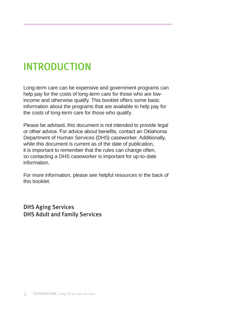### INTRODUCTION

Long-term care can be expensive and government programs can help pay for the costs of long-term care for those who are lowincome and otherwise qualify. This booklet offers some basic information about the programs that are available to help pay for the costs of long-term care for those who qualify.

Please be advised, this document is not intended to provide legal or other advice. For advice about benefits, contact an Oklahoma Department of Human Services (DHS) caseworker. Additionally, while this document is current as of the date of publication, it is important to remember that the rules can change often, so contacting a DHS caseworker is important for up-to-date information.

For more information, please see helpful resources in the back of this booklet.

DHS Aging Services DHS Adult and Family Services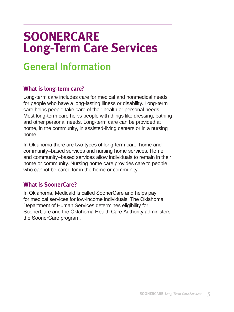## **SOONERCARE Long-Term Care Services**

### General Information

### **What is long-term care?**

Long-term care includes care for medical and nonmedical needs for people who have a long-lasting illness or disability. Long-term care helps people take care of their health or personal needs. Most long-term care helps people with things like dressing, bathing and other personal needs. Long-term care can be provided at home, in the community, in assisted-living centers or in a nursing home.

In Oklahoma there are two types of long-term care: home and community–based services and nursing home services. Home and community–based services allow individuals to remain in their home or community. Nursing home care provides care to people who cannot be cared for in the home or community.

### **What is SoonerCare?**

In Oklahoma, Medicaid is called SoonerCare and helps pay for medical services for low-income individuals. The Oklahoma Department of Human Services determines eligibility for SoonerCare and the Oklahoma Health Care Authority administers the SoonerCare program.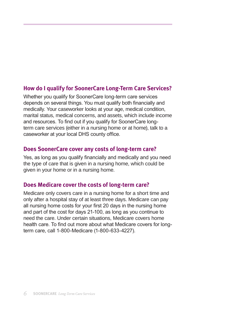### **How do I qualify for SoonerCare Long-Term Care Services?**

Whether you qualify for SoonerCare long-term care services depends on several things. You must qualify both financially and medically. Your caseworker looks at your age, medical condition, marital status, medical concerns, and assets, which include income and resources. To find out if you qualify for SoonerCare longterm care services (either in a nursing home or at home), talk to a caseworker at your local DHS county office.

### **Does SoonerCare cover any costs of long-term care?**

Yes, as long as you qualify financially and medically and you need the type of care that is given in a nursing home, which could be given in your home or in a nursing home.

### **Does Medicare cover the costs of long-term care?**

Medicare only covers care in a nursing home for a short time and only after a hospital stay of at least three days. Medicare can pay all nursing home costs for your first 20 days in the nursing home and part of the cost for days 21-100, as long as you continue to need the care. Under certain situations, Medicare covers home health care. To find out more about what Medicare covers for longterm care, call 1-800-Medicare (1-800-633-4227).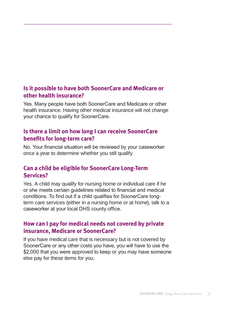### **Is it possible to have both SoonerCare and Medicare or other health insurance?**

Yes. Many people have both SoonerCare and Medicare or other health insurance. Having other medical insurance will not change your chance to qualify for SoonerCare.

### **Is there a limit on how long I can receive SoonerCare benefits for long-term care?**

No. Your financial situation will be reviewed by your caseworker once a year to determine whether you still qualify.

### **Can a child be eligible for SoonerCare Long-Term Services?**

Yes. A child may qualify for nursing home or individual care if he or she meets certain guidelines related to financial and medical conditions. To find out if a child qualifies for SoonerCare longterm care services (either in a nursing home or at home), talk to a caseworker at your local DHS county office.

### **How can I pay for medical needs not covered by private insurance, Medicare or SoonerCare?**

If you have medical care that is necessary but is not covered by SoonerCare or any other costs you have, you will have to use the \$2,000 that you were approved to keep or you may have someone else pay for these items for you.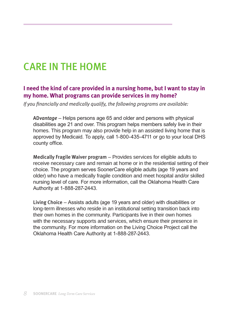### CARE IN THE HOME

### **I need the kind of care provided in a nursing home, but I want to stay in my home. What programs can provide services in my home?**

*If you financially and medically qualify, the following programs are available:*

AD*vantage* – Helps persons age 65 and older and persons with physical disabilities age 21 and over. This program helps members safely live in their homes. This program may also provide help in an assisted living home that is approved by Medicaid. To apply, call 1-800-435-4711 or go to your local DHS county office.

Medically Fragile Waiver program – Provides services for eligible adults to receive necessary care and remain at home or in the residential setting of their choice. The program serves SoonerCare eligible adults (age 19 years and older) who have a medically fragile condition and meet hospital and/or skilled nursing level of care. For more information, call the Oklahoma Health Care Authority at 1-888-287-2443.

Living Choice – Assists adults (age 19 years and older) with disabilities or long-term illnesses who reside in an institutional setting transition back into their own homes in the community. Participants live in their own homes with the necessary supports and services, which ensure their presence in the community. For more information on the Living Choice Project call the Oklahoma Health Care Authority at 1-888-287-2443.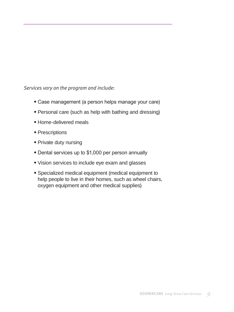#### *Services vary on the program and include:*

- Case management (a person helps manage your care)
- Personal care (such as help with bathing and dressing)
- Home-delivered meals
- Prescriptions
- Private duty nursing
- Dental services up to \$1,000 per person annually
- Vision services to include eye exam and glasses
- Specialized medical equipment (medical equipment to help people to live in their homes, such as wheel chairs, oxygen equipment and other medical supplies)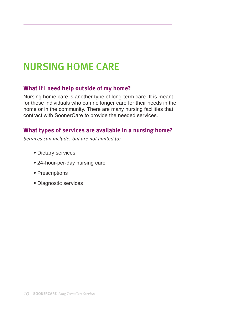### NURSING HOME CARE

### **What if I need help outside of my home?**

Nursing home care is another type of long-term care. It is meant for those individuals who can no longer care for their needs in the home or in the community. There are many nursing facilities that contract with SoonerCare to provide the needed services.

### **What types of services are available in a nursing home?**

*Services can include, but are not limited to:*

- Dietary services
- 24-hour-per-day nursing care
- Prescriptions
- Diagnostic services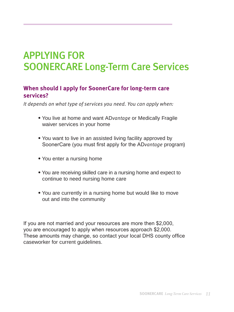### APPLYING FOR SOONERCARE Long-Term Care Services

### **When should I apply for SoonerCare for long-term care services?**

*It depends on what type of services you need. You can apply when:*

- You live at home and want AD*vantage* or Medically Fragile waiver services in your home
- You want to live in an assisted living facility approved by SoonerCare (you must first apply for the AD*vantage* program)
- You enter a nursing home
- You are receiving skilled care in a nursing home and expect to continue to need nursing home care
- You are currently in a nursing home but would like to move out and into the community

If you are not married and your resources are more then \$2,000, you are encouraged to apply when resources approach \$2,000. These amounts may change, so contact your local DHS county office caseworker for current guidelines.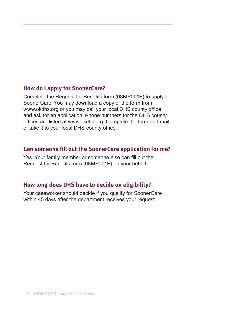### **How do I apply for SoonerCare?**

Complete the Request for Benefits form (08MP001E) to apply for SoonerCare. You may download a copy of the form from www.okdhs.org or you may call your local DHS county office and ask for an application. Phone numbers for the DHS county offices are listed at www.okdhs.org. Complete the form and mail or take it to your local DHS county office.

### **Can someone fill out the SoonerCare application for me?**

Yes. Your family member or someone else can fill out the Request for Benefits form (08MP001E) on your behalf.

### **How long does DHS have to decide on eligibility?**

Your caseworker should decide if you qualify for SoonerCare within 45 days after the department receives your request.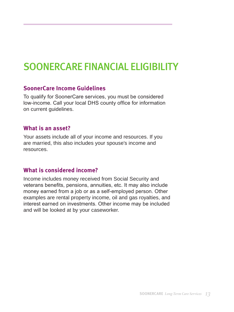### SOONERCARE FINANCIAL ELIGIBILITY

### **SoonerCare Income Guidelines**

To qualify for SoonerCare services, you must be considered low-income. Call your local DHS county office for information on current guidelines.

### **What is an asset?**

Your assets include all of your income and resources. If you are married, this also includes your spouse's income and resources.

### **What is considered income?**

Income includes money received from Social Security and veterans benefits, pensions, annuities, etc. It may also include money earned from a job or as a self-employed person. Other examples are rental property income, oil and gas royalties, and interest earned on investments. Other income may be included and will be looked at by your caseworker.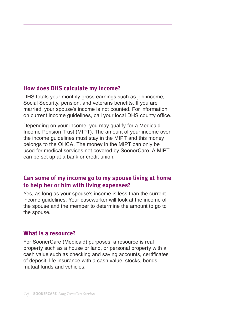### **How does DHS calculate my income?**

DHS totals your monthly gross earnings such as job income, Social Security, pension, and veterans benefits. If you are married, your spouse's income is not counted. For information on current income guidelines, call your local DHS county office.

Depending on your income, you may qualify for a Medicaid Income Pension Trust (MIPT). The amount of your income over the income guidelines must stay in the MIPT and this money belongs to the OHCA. The money in the MIPT can only be used for medical services not covered by SoonerCare. A MIPT can be set up at a bank or credit union.

### **Can some of my income go to my spouse living at home to help her or him with living expenses?**

Yes, as long as your spouse's income is less than the current income guidelines. Your caseworker will look at the income of the spouse and the member to determine the amount to go to the spouse.

#### **What is a resource?**

For SoonerCare (Medicaid) purposes, a resource is real property such as a house or land, or personal property with a cash value such as checking and saving accounts, certificates of deposit, life insurance with a cash value, stocks, bonds, mutual funds and vehicles.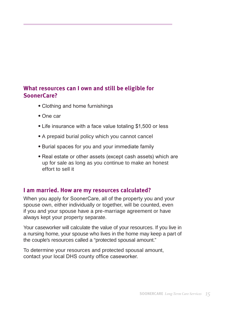### **What resources can I own and still be eligible for SoonerCare?**

- Clothing and home furnishings
- One car
- Life insurance with a face value totaling \$1,500 or less
- A prepaid burial policy which you cannot cancel
- Burial spaces for you and your immediate family
- Real estate or other assets (except cash assets) which are up for sale as long as you continue to make an honest effort to sell it

### **I am married. How are my resources calculated?**

When you apply for SoonerCare, all of the property you and your spouse own, either individually or together, will be counted, even if you and your spouse have a pre-marriage agreement or have always kept your property separate.

Your caseworker will calculate the value of your resources. If you live in a nursing home, your spouse who lives in the home may keep a part of the couple's resources called a "protected spousal amount."

To determine your resources and protected spousal amount, contact your local DHS county office caseworker.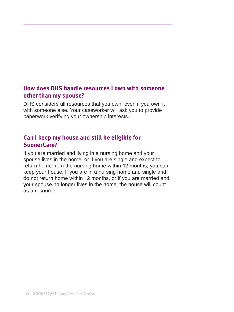### **How does DHS handle resources I own with someone other than my spouse?**

DHS considers all resources that you own, even if you own it with someone else. Your caseworker will ask you to provide paperwork verifying your ownership interests.

### **Can I keep my house and still be eligible for SoonerCare?**

If you are married and living in a nursing home and your spouse lives in the home, or if you are single and expect to return home from the nursing home within 12 months, you can keep your house. If you are in a nursing home and single and do not return home within 12 months, or if you are married and your spouse no longer lives in the home, the house will count as a resource.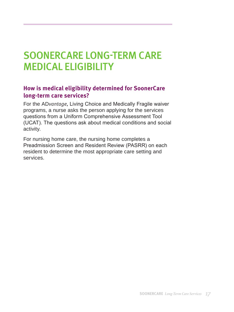### SOONERCARE LONG-TERM CARE MEDICAL ELIGIBILITY

### **How is medical eligibility determined for SoonerCare long-term care services?**

For the AD*vantage,* Living Choice and Medically Fragile waiver programs, a nurse asks the person applying for the services questions from a Uniform Comprehensive Assessment Tool (UCAT). The questions ask about medical conditions and social activity.

For nursing home care, the nursing home completes a Preadmission Screen and Resident Review (PASRR) on each resident to determine the most appropriate care setting and services.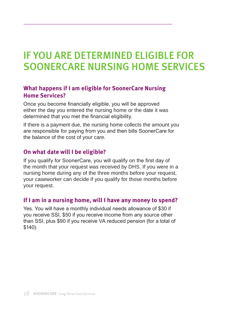### IF YOU ARE DETERMINED ELIGIBLE FOR SOONERCARE NURSING HOME SERVICES

### **What happens if I am eligible for SoonerCare Nursing Home Services?**

Once you become financially eligible, you will be approved either the day you entered the nursing home or the date it was determined that you met the financial eligibility.

If there is a payment due, the nursing home collects the amount you are responsible for paying from you and then bills SoonerCare for the balance of the cost of your care.

### **On what date will I be eligible?**

If you qualify for SoonerCare, you will qualify on the first day of the month that your request was received by DHS. If you were in a nursing home during any of the three months before your request, your caseworker can decide if you qualify for those months before your request.

### **If I am in a nursing home, will I have any money to spend?**

Yes. You will have a monthly individual needs allowance of \$30 if you receive SSI, \$50 if you receive income from any source other than SSI, plus \$90 if you receive VA reduced pension (for a total of \$140).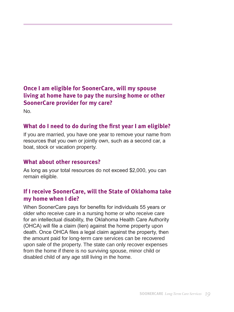### **Once I am eligible for SoonerCare, will my spouse living at home have to pay the nursing home or other SoonerCare provider for my care?**

No.

### **What do I need to do during the first year I am eligible?**

If you are married, you have one year to remove your name from resources that you own or jointly own, such as a second car, a boat, stock or vacation property.

### **What about other resources?**

As long as your total resources do not exceed \$2,000, you can remain eligible.

### **If I receive SoonerCare, will the State of Oklahoma take my home when I die?**

When SoonerCare pays for benefits for individuals 55 years or older who receive care in a nursing home or who receive care for an intellectual disability, the Oklahoma Health Care Authority (OHCA) will file a claim (lien) against the home property upon death. Once OHCA files a legal claim against the property, then the amount paid for long-term care services can be recovered upon sale of the property. The state can only recover expenses from the home if there is no surviving spouse, minor child or disabled child of any age still living in the home.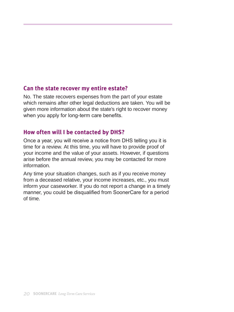#### **Can the state recover my entire estate?**

No. The state recovers expenses from the part of your estate which remains after other legal deductions are taken. You will be given more information about the state's right to recover money when you apply for long-term care benefits.

### **How often will I be contacted by DHS?**

Once a year, you will receive a notice from DHS telling you it is time for a review. At this time, you will have to provide proof of your income and the value of your assets. However, if questions arise before the annual review, you may be contacted for more information.

Any time your situation changes, such as if you receive money from a deceased relative, your income increases, etc., you must inform your caseworker. If you do not report a change in a timely manner, you could be disqualified from SoonerCare for a period of time.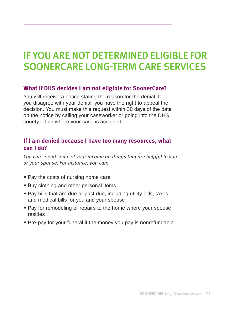### IF YOU ARE NOT DETERMINED ELIGIBLE FOR SOONERCARE LONG-TERM CARE SERVICES

### **What if DHS decides I am not eligible for SoonerCare?**

You will receive a notice stating the reason for the denial. If you disagree with your denial, you have the right to appeal the decision. You must make this request within 30 days of the date on the notice by calling your caseworker or going into the DHS county office where your case is assigned.

### **If I am denied because I have too many resources, what can I do?**

*You can spend some of your income on things that are helpful to you or your spouse. For instance, you can:*

- Pay the costs of nursing home care
- Buy clothing and other personal items
- Pay bills that are due or past due, including utility bills, taxes and medical bills for you and your spouse
- Pay for remodeling or repairs to the home where your spouse resides
- Pre-pay for your funeral if the money you pay is nonrefundable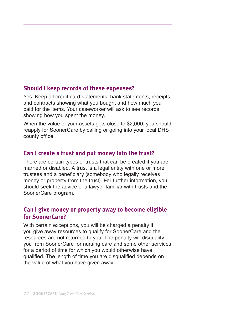### **Should I keep records of these expenses?**

Yes. Keep all credit card statements, bank statements, receipts, and contracts showing what you bought and how much you paid for the items. Your caseworker will ask to see records showing how you spent the money.

When the value of your assets gets close to \$2,000, you should reapply for SoonerCare by calling or going into your local DHS county office.

### **Can I create a trust and put money into the trust?**

There are certain types of trusts that can be created if you are married or disabled. A trust is a legal entity with one or more trustees and a beneficiary (somebody who legally receives money or property from the trust). For further information, you should seek the advice of a lawyer familiar with trusts and the SoonerCare program.

### **Can I give money or property away to become eligible for SoonerCare?**

With certain exceptions, you will be charged a penalty if you give away resources to qualify for SoonerCare and the resources are not returned to you. The penalty will disqualify you from SoonerCare for nursing care and some other services for a period of time for which you would otherwise have qualified. The length of time you are disqualified depends on the value of what you have given away.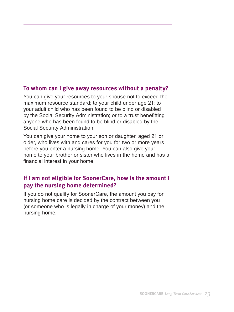### **To whom can I give away resources without a penalty?**

You can give your resources to your spouse not to exceed the maximum resource standard; to your child under age 21; to your adult child who has been found to be blind or disabled by the Social Security Administration; or to a trust benefitting anyone who has been found to be blind or disabled by the Social Security Administration.

You can give your home to your son or daughter, aged 21 or older, who lives with and cares for you for two or more years before you enter a nursing home. You can also give your home to your brother or sister who lives in the home and has a financial interest in your home.

### **If I am not eligible for SoonerCare, how is the amount I pay the nursing home determined?**

If you do not qualify for SoonerCare, the amount you pay for nursing home care is decided by the contract between you (or someone who is legally in charge of your money) and the nursing home.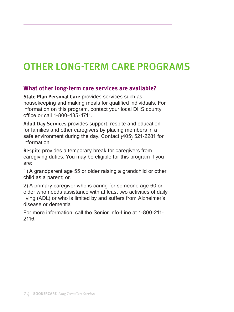### OTHER LONG-TERM CARE PROGRAMS

### **What other long-term care services are available?**

**State Plan Personal Care** provides services such as housekeeping and making meals for qualified individuals. For information on this program, contact your local DHS county office or call 1-800-435-4711.

Adult Day Services provides support, respite and education for families and other caregivers by placing members in a safe environment during the day. Contact (405) 521-2281 for information.

Respite provides a temporary break for caregivers from caregiving duties. You may be eligible for this program if you are:

1) A grandparent age 55 or older raising a grandchild or other child as a parent; or,

2) A primary caregiver who is caring for someone age 60 or older who needs assistance with at least two activities of daily living (ADL) or who is limited by and suffers from Alzheimer's disease or dementia

For more information, call the Senior Info-Line at 1-800-211- 2116.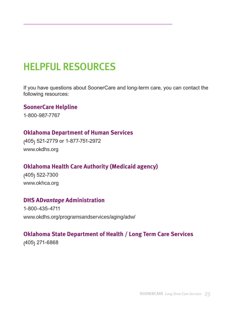### HELPFUL RESOURCES

If you have questions about SoonerCare and long-term care, you can contact the following resources:

### **SoonerCare Helpline**

1-800-987-7767

### **Oklahoma Department of Human Services**

(405) 521-2779 or 1-877-751-2972 www.okdhs.org

### **Oklahoma Health Care Authority (Medicaid agency)**

(405) 522-7300 www.okhca.org

### **DHS AD***vantage* **Administration**

1-800-435-4711 www.okdhs.org/programsandservices/aging/adw/

### **Oklahoma State Department of Health / Long Term Care Services**

(405) 271-6868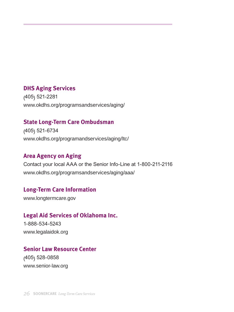### **DHS Aging Services**

(405) 521-2281 www.okdhs.org/programsandservices/aging/

### **State Long-Term Care Ombudsman**

(405) 521-6734 www.okdhs.org/programandservices/aging/ltc/

### **Area Agency on Aging**

Contact your local AAA or the Senior Info-Line at 1-800-211-2116 www.okdhs.org/programsandservices/aging/aaa/

### **Long-Term Care Information**

www.longtermcare.gov

### **Legal Aid Services of Oklahoma Inc.**

1-888-534-5243 www.legalaidok.org

### **Senior Law Resource Center**

(405) 528-0858 www.senior-law.org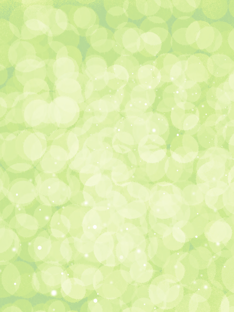